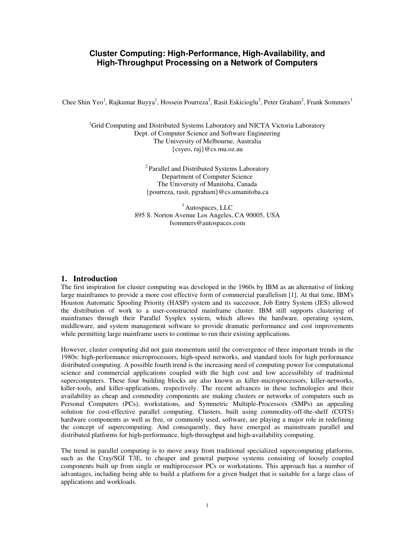# **Cluster Computing: High-Performance, High-Availability, and High-Throughput Processing on a Network of Computers**

Chee Shin Yeo<sup>1</sup>, Rajkumar Buyya<sup>1</sup>, Hossein Pourreza<sup>2</sup>, Rasit Eskicioglu<sup>2</sup>, Peter Graham<sup>2</sup>, Frank Sommers<sup>3</sup>

<sup>1</sup>Grid Computing and Distributed Systems Laboratory and NICTA Victoria Laboratory Dept. of Computer Science and Software Engineering The University of Melbourne, Australia {csyeo, raj}@cs.mu.oz.au

> <sup>2</sup> Parallel and Distributed Systems Laboratory Department of Computer Science The University of Manitoba, Canada {pourreza, rasit, pgraham}@cs.umanitoba.ca

<sup>3</sup> Autospaces, LLC 895 S. Norton Avenue Los Angeles, CA 90005, USA fsommers@autospaces.com

#### **1. Introduction**

The first inspiration for cluster computing was developed in the 1960s by IBM as an alternative of linking large mainframes to provide a more cost effective form of commercial parallelism [1]. At that time, IBM's Houston Automatic Spooling Priority (HASP) system and its successor, Job Entry System (JES) allowed the distribution of work to a user-constructed mainframe cluster. IBM still supports clustering of mainframes through their Parallel Sysplex system, which allows the hardware, operating system, middleware, and system management software to provide dramatic performance and cost improvements while permitting large mainframe users to continue to run their existing applications.

However, cluster computing did not gain momentum until the convergence of three important trends in the 1980s: high-performance microprocessors, high-speed networks, and standard tools for high performance distributed computing. A possible fourth trend is the increasing need of computing power for computational science and commercial applications coupled with the high cost and low accessibility of traditional supercomputers. These four building blocks are also known as killer-microprocessors, killer-networks, killer-tools, and killer-applications, respectively. The recent advances in these technologies and their availability as cheap and commodity components are making clusters or networks of computers such as Personal Computers (PCs), workstations, and Symmetric Multiple-Processors (SMPs) an appealing solution for cost-effective parallel computing. Clusters, built using commodity-off-the-shelf (COTS) hardware components as well as free, or commonly used, software, are playing a major role in redefining the concept of supercomputing. And consequently, they have emerged as mainstream parallel and distributed platforms for high-performance, high-throughput and high-availability computing.

The trend in parallel computing is to move away from traditional specialized supercomputing platforms, such as the Cray/SGI T3E, to cheaper and general purpose systems consisting of loosely coupled components built up from single or multiprocessor PCs or workstations. This approach has a number of advantages, including being able to build a platform for a given budget that is suitable for a large class of applications and workloads.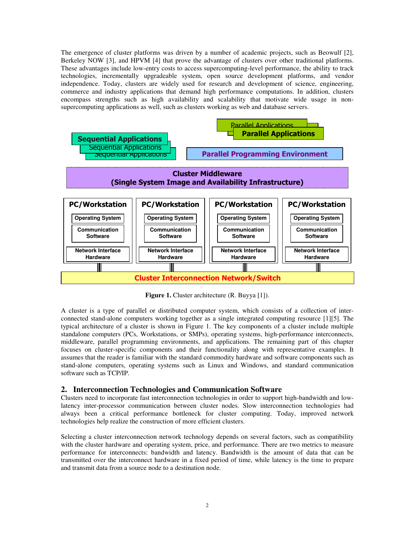The emergence of cluster platforms was driven by a number of academic projects, such as Beowulf [2], Berkeley NOW [3], and HPVM [4] that prove the advantage of clusters over other traditional platforms. These advantages include low-entry costs to access supercomputing-level performance, the ability to track technologies, incrementally upgradeable system, open source development platforms, and vendor independence. Today, clusters are widely used for research and development of science, engineering, commerce and industry applications that demand high performance computations. In addition, clusters encompass strengths such as high availability and scalability that motivate wide usage in nonsupercomputing applications as well, such as clusters working as web and database servers.



**Figure 1.** Cluster architecture (R. Buyya [1]).

A cluster is a type of parallel or distributed computer system, which consists of a collection of interconnected stand-alone computers working together as a single integrated computing resource [1][5]. The typical architecture of a cluster is shown in Figure 1. The key components of a cluster include multiple standalone computers (PCs, Workstations, or SMPs), operating systems, high-performance interconnects, middleware, parallel programming environments, and applications. The remaining part of this chapter focuses on cluster-specific components and their functionality along with representative examples. It assumes that the reader is familiar with the standard commodity hardware and software components such as stand-alone computers, operating systems such as Linux and Windows, and standard communication software such as TCP/IP.

## **2. Interconnection Technologies and Communication Software**

Clusters need to incorporate fast interconnection technologies in order to support high-bandwidth and lowlatency inter-processor communication between cluster nodes. Slow interconnection technologies had always been a critical performance bottleneck for cluster computing. Today, improved network technologies help realize the construction of more efficient clusters.

Selecting a cluster interconnection network technology depends on several factors, such as compatibility with the cluster hardware and operating system, price, and performance. There are two metrics to measure performance for interconnects: bandwidth and latency. Bandwidth is the amount of data that can be transmitted over the interconnect hardware in a fixed period of time, while latency is the time to prepare and transmit data from a source node to a destination node.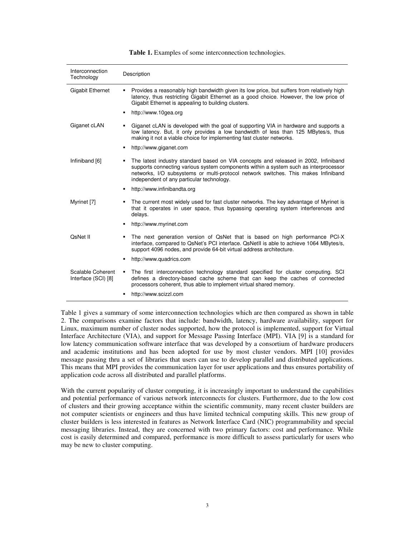| Interconnection<br>Technology            | Description                                                                                                                                                                                                                                                                                                    |  |  |
|------------------------------------------|----------------------------------------------------------------------------------------------------------------------------------------------------------------------------------------------------------------------------------------------------------------------------------------------------------------|--|--|
| Gigabit Ethernet                         | Provides a reasonably high bandwidth given its low price, but suffers from relatively high<br>latency, thus restricting Gigabit Ethernet as a good choice. However, the low price of<br>Gigabit Ethernet is appealing to building clusters.                                                                    |  |  |
|                                          | http://www.10gea.org<br>٠                                                                                                                                                                                                                                                                                      |  |  |
| Giganet cLAN                             | Giganet cLAN is developed with the goal of supporting VIA in hardware and supports a<br>٠<br>low latency. But, it only provides a low bandwidth of less than 125 MBytes/s, thus<br>making it not a viable choice for implementing fast cluster networks.                                                       |  |  |
|                                          | http://www.giganet.com<br>٠                                                                                                                                                                                                                                                                                    |  |  |
| Infiniband [6]                           | The latest industry standard based on VIA concepts and released in 2002, Infiniband<br>supports connecting various system components within a system such as interprocessor<br>networks, I/O subsystems or multi-protocol network switches. This makes Infiniband<br>independent of any particular technology. |  |  |
|                                          | http://www.infinibandta.org                                                                                                                                                                                                                                                                                    |  |  |
| Myrinet [7]                              | The current most widely used for fast cluster networks. The key advantage of Myrinet is<br>that it operates in user space, thus bypassing operating system interferences and<br>delays.                                                                                                                        |  |  |
|                                          | http://www.myrinet.com                                                                                                                                                                                                                                                                                         |  |  |
| OsNet II                                 | The next generation version of QsNet that is based on high performance PCI-X<br>interface, compared to QsNet's PCI interface. QsNetII is able to achieve 1064 MBytes/s,<br>support 4096 nodes, and provide 64-bit virtual address architecture.                                                                |  |  |
|                                          | http://www.quadrics.com                                                                                                                                                                                                                                                                                        |  |  |
| Scalable Coherent<br>Interface (SCI) [8] | The first interconnection technology standard specified for cluster computing. SCI<br>٠<br>defines a directory-based cache scheme that can keep the caches of connected<br>processors coherent, thus able to implement virtual shared memory.                                                                  |  |  |
|                                          | http://www.scizzl.com                                                                                                                                                                                                                                                                                          |  |  |

#### **Table 1.** Examples of some interconnection technologies.

Table 1 gives a summary of some interconnection technologies which are then compared as shown in table 2. The comparisons examine factors that include: bandwidth, latency, hardware availability, support for Linux, maximum number of cluster nodes supported, how the protocol is implemented, support for Virtual Interface Architecture (VIA), and support for Message Passing Interface (MPI). VIA [9] is a standard for low latency communication software interface that was developed by a consortium of hardware producers and academic institutions and has been adopted for use by most cluster vendors. MPI [10] provides message passing thru a set of libraries that users can use to develop parallel and distributed applications. This means that MPI provides the communication layer for user applications and thus ensures portability of application code across all distributed and parallel platforms.

With the current popularity of cluster computing, it is increasingly important to understand the capabilities and potential performance of various network interconnects for clusters. Furthermore, due to the low cost of clusters and their growing acceptance within the scientific community, many recent cluster builders are not computer scientists or engineers and thus have limited technical computing skills. This new group of cluster builders is less interested in features as Network Interface Card (NIC) programmability and special messaging libraries. Instead, they are concerned with two primary factors: cost and performance. While cost is easily determined and compared, performance is more difficult to assess particularly for users who may be new to cluster computing.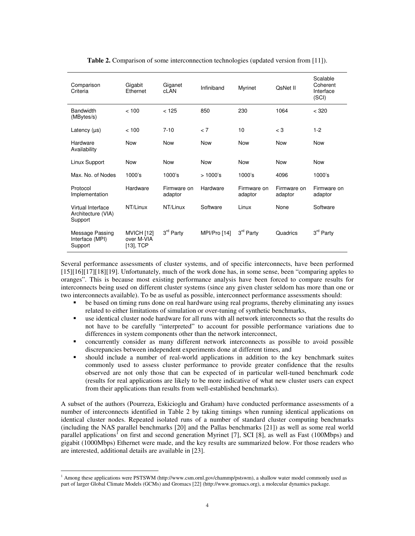| Comparison<br>Criteria                             | Gigabit<br>Ethernet                             | Giganet<br><b>cLAN</b> | Infiniband   | Myrinet                | QsNet II               | Scalable<br>Coherent<br>Interface<br>(SCI) |
|----------------------------------------------------|-------------------------------------------------|------------------------|--------------|------------------------|------------------------|--------------------------------------------|
| <b>Bandwidth</b><br>(MBytes/s)                     | < 100                                           | < 125                  | 850          | 230                    | 1064                   | < 320                                      |
| Latency $(\mu s)$                                  | < 100                                           | $7 - 10$               | < 7          | 10                     | $<$ 3                  | $1 - 2$                                    |
| Hardware<br>Availability                           | <b>Now</b>                                      | <b>Now</b>             | <b>Now</b>   | <b>Now</b>             | Now                    | <b>Now</b>                                 |
| Linux Support                                      | <b>Now</b>                                      | <b>Now</b>             | <b>Now</b>   | <b>Now</b>             | <b>Now</b>             | <b>Now</b>                                 |
| Max. No. of Nodes                                  | 1000's                                          | 1000's                 | $>1000$ 's   | 1000's                 | 4096                   | 1000's                                     |
| Protocol<br>Implementation                         | Hardware                                        | Firmware on<br>adaptor | Hardware     | Firmware on<br>adaptor | Firmware on<br>adaptor | Firmware on<br>adaptor                     |
| Virtual Interface<br>Architecture (VIA)<br>Support | NT/Linux                                        | NT/Linux               | Software     | Linux                  | None                   | Software                                   |
| Message Passing<br>Interface (MPI)<br>Support      | <b>MVICH [12]</b><br>over M-VIA<br>$[13]$ , TCP | 3rd Party              | MPI/Pro [14] | 3rd Party              | Quadrics               | 3rd Party                                  |

**Table 2.** Comparison of some interconnection technologies (updated version from [11]).

Several performance assessments of cluster systems, and of specific interconnects, have been performed [15][16][17][18][19]. Unfortunately, much of the work done has, in some sense, been "comparing apples to oranges". This is because most existing performance analysis have been forced to compare results for interconnects being used on different cluster systems (since any given cluster seldom has more than one or two interconnects available). To be as useful as possible, interconnect performance assessments should:

- be based on timing runs done on real hardware using real programs, thereby eliminating any issues related to either limitations of simulation or over-tuning of synthetic benchmarks,
- use identical cluster node hardware for all runs with all network interconnects so that the results do not have to be carefully "interpreted" to account for possible performance variations due to differences in system components other than the network interconnect,
- concurrently consider as many different network interconnects as possible to avoid possible discrepancies between independent experiments done at different times, and
- should include a number of real-world applications in addition to the key benchmark suites commonly used to assess cluster performance to provide greater confidence that the results observed are not only those that can be expected of in particular well-tuned benchmark code (results for real applications are likely to be more indicative of what new cluster users can expect from their applications than results from well-established benchmarks).

A subset of the authors (Pourreza, Eskicioglu and Graham) have conducted performance assessments of a number of interconnects identified in Table 2 by taking timings when running identical applications on identical cluster nodes. Repeated isolated runs of a number of standard cluster computing benchmarks (including the NAS parallel benchmarks [20] and the Pallas benchmarks [21]) as well as some real world parallel applications<sup>f</sup> on first and second generation Myrinet [7], SCI [8], as well as Fast (100Mbps) and gigabit (1000Mbps) Ethernet were made, and the key results are summarized below. For those readers who are interested, additional details are available in [23].

<sup>1</sup> Among these applications were PSTSWM (http://www.csm.ornl.gov/chammp/pstswm), a shallow water model commonly used as part of larger Global Climate Models (GCMs) and Gromacs [22] (http://www.gromacs.org), a molecular dynamics package.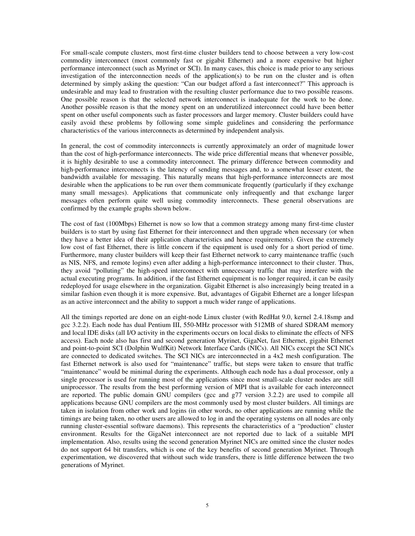For small-scale compute clusters, most first-time cluster builders tend to choose between a very low-cost commodity interconnect (most commonly fast or gigabit Ethernet) and a more expensive but higher performance interconnect (such as Myrinet or SCI). In many cases, this choice is made prior to any serious investigation of the interconnection needs of the application(s) to be run on the cluster and is often determined by simply asking the question: "Can our budget afford a fast interconnect?" This approach is undesirable and may lead to frustration with the resulting cluster performance due to two possible reasons. One possible reason is that the selected network interconnect is inadequate for the work to be done. Another possible reason is that the money spent on an underutilized interconnect could have been better spent on other useful components such as faster processors and larger memory. Cluster builders could have easily avoid these problems by following some simple guidelines and considering the performance characteristics of the various interconnects as determined by independent analysis.

In general, the cost of commodity interconnects is currently approximately an order of magnitude lower than the cost of high-performance interconnects. The wide price differential means that whenever possible, it is highly desirable to use a commodity interconnect. The primary difference between commodity and high-performance interconnects is the latency of sending messages and, to a somewhat lesser extent, the bandwidth available for messaging. This naturally means that high-performance interconnects are most desirable when the applications to be run over them communicate frequently (particularly if they exchange many small messages). Applications that communicate only infrequently and that exchange larger messages often perform quite well using commodity interconnects. These general observations are confirmed by the example graphs shown below.

The cost of fast (100Mbps) Ethernet is now so low that a common strategy among many first-time cluster builders is to start by using fast Ethernet for their interconnect and then upgrade when necessary (or when they have a better idea of their application characteristics and hence requirements). Given the extremely low cost of fast Ethernet, there is little concern if the equipment is used only for a short period of time. Furthermore, many cluster builders will keep their fast Ethernet network to carry maintenance traffic (such as NIS, NFS, and remote logins) even after adding a high-performance interconnect to their cluster. Thus, they avoid "polluting" the high-speed interconnect with unnecessary traffic that may interfere with the actual executing programs. In addition, if the fast Ethernet equipment is no longer required, it can be easily redeployed for usage elsewhere in the organization. Gigabit Ethernet is also increasingly being treated in a similar fashion even though it is more expensive. But, advantages of Gigabit Ethernet are a longer lifespan as an active interconnect and the ability to support a much wider range of applications.

All the timings reported are done on an eight-node Linux cluster (with RedHat 9.0, kernel 2.4.18smp and gcc 3.2.2). Each node has dual Pentium III, 550-MHz processor with 512MB of shared SDRAM memory and local IDE disks (all I/O activity in the experiments occurs on local disks to eliminate the effects of NFS access). Each node also has first and second generation Myrinet, GigaNet, fast Ethernet, gigabit Ethernet and point-to-point SCI (Dolphin WulfKit) Network Interface Cards (NICs). All NICs except the SCI NICs are connected to dedicated switches. The SCI NICs are interconnected in a 4x2 mesh configuration. The fast Ethernet network is also used for "maintenance" traffic, but steps were taken to ensure that traffic "maintenance" would be minimal during the experiments. Although each node has a dual processor, only a single processor is used for running most of the applications since most small-scale cluster nodes are still uniprocessor. The results from the best performing version of MPI that is available for each interconnect are reported. The public domain GNU compilers (gcc and g77 version 3.2.2) are used to compile all applications because GNU compilers are the most commonly used by most cluster builders. All timings are taken in isolation from other work and logins (in other words, no other applications are running while the timings are being taken, no other users are allowed to log in and the operating systems on all nodes are only running cluster-essential software daemons). This represents the characteristics of a "production" cluster environment. Results for the GigaNet interconnect are not reported due to lack of a suitable MPI implementation. Also, results using the second generation Myrinet NICs are omitted since the cluster nodes do not support 64 bit transfers, which is one of the key benefits of second generation Myrinet. Through experimentation, we discovered that without such wide transfers, there is little difference between the two generations of Myrinet.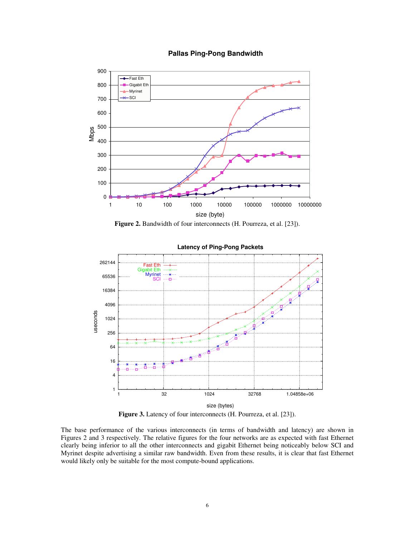

#### **Pallas Ping-Pong Bandwidth**

**Figure 2.** Bandwidth of four interconnects (H. Pourreza, et al. [23]).



**Latency of Ping-Pong Packets**

**Figure 3.** Latency of four interconnects (H. Pourreza, et al. [23]).

The base performance of the various interconnects (in terms of bandwidth and latency) are shown in Figures 2 and 3 respectively. The relative figures for the four networks are as expected with fast Ethernet clearly being inferior to all the other interconnects and gigabit Ethernet being noticeably below SCI and Myrinet despite advertising a similar raw bandwidth. Even from these results, it is clear that fast Ethernet would likely only be suitable for the most compute-bound applications.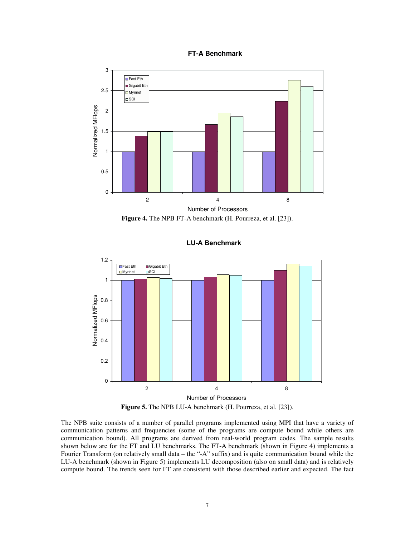#### **FT-A Benchmark**



**Figure 4.** The NPB FT-A benchmark (H. Pourreza, et al. [23]).



LU-A Benchmark

**Figure 5.** The NPB LU-A benchmark (H. Pourreza, et al. [23]).

The NPB suite consists of a number of parallel programs implemented using MPI that have a variety of communication patterns and frequencies (some of the programs are compute bound while others are communication bound). All programs are derived from real-world program codes. The sample results shown below are for the FT and LU benchmarks. The FT-A benchmark (shown in Figure 4) implements a Fourier Transform (on relatively small data – the "-A" suffix) and is quite communication bound while the LU-A benchmark (shown in Figure 5) implements LU decomposition (also on small data) and is relatively compute bound. The trends seen for FT are consistent with those described earlier and expected. The fact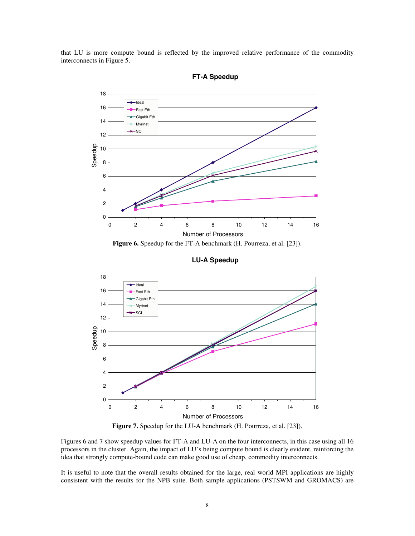that LU is more compute bound is reflected by the improved relative performance of the commodity interconnects in Figure 5.





**LU-A Speedup**





Figures 6 and 7 show speedup values for FT-A and LU-A on the four interconnects, in this case using all 16 processors in the cluster. Again, the impact of LU's being compute bound is clearly evident, reinforcing the idea that strongly compute-bound code can make good use of cheap, commodity interconnects.

It is useful to note that the overall results obtained for the large, real world MPI applications are highly consistent with the results for the NPB suite. Both sample applications (PSTSWM and GROMACS) are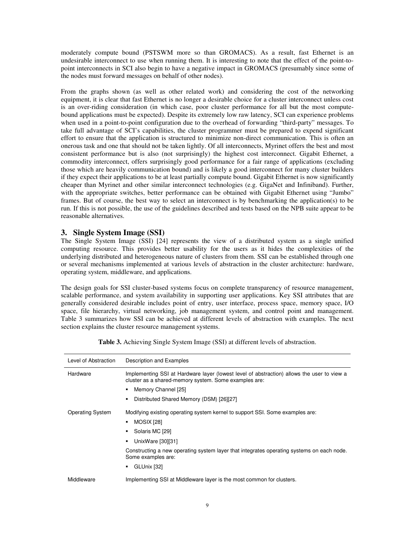moderately compute bound (PSTSWM more so than GROMACS). As a result, fast Ethernet is an undesirable interconnect to use when running them. It is interesting to note that the effect of the point-topoint interconnects in SCI also begin to have a negative impact in GROMACS (presumably since some of the nodes must forward messages on behalf of other nodes).

From the graphs shown (as well as other related work) and considering the cost of the networking equipment, it is clear that fast Ethernet is no longer a desirable choice for a cluster interconnect unless cost is an over-riding consideration (in which case, poor cluster performance for all but the most computebound applications must be expected). Despite its extremely low raw latency, SCI can experience problems when used in a point-to-point configuration due to the overhead of forwarding "third-party" messages. To take full advantage of SCI's capabilities, the cluster programmer must be prepared to expend significant effort to ensure that the application is structured to minimize non-direct communication. This is often an onerous task and one that should not be taken lightly. Of all interconnects, Myrinet offers the best and most consistent performance but is also (not surprisingly) the highest cost interconnect. Gigabit Ethernet, a commodity interconnect, offers surprisingly good performance for a fair range of applications (excluding those which are heavily communication bound) and is likely a good interconnect for many cluster builders if they expect their applications to be at least partially compute bound. Gigabit Ethernet is now significantly cheaper than Myrinet and other similar interconnect technologies (e.g. GigaNet and Infiniband). Further, with the appropriate switches, better performance can be obtained with Gigabit Ethernet using "Jumbo" frames. But of course, the best way to select an interconnect is by benchmarking the application(s) to be run. If this is not possible, the use of the guidelines described and tests based on the NPB suite appear to be reasonable alternatives.

# **3. Single System Image (SSI)**

The Single System Image (SSI) [24] represents the view of a distributed system as a single unified computing resource. This provides better usability for the users as it hides the complexities of the underlying distributed and heterogeneous nature of clusters from them. SSI can be established through one or several mechanisms implemented at various levels of abstraction in the cluster architecture: hardware, operating system, middleware, and applications.

The design goals for SSI cluster-based systems focus on complete transparency of resource management, scalable performance, and system availability in supporting user applications. Key SSI attributes that are generally considered desirable includes point of entry, user interface, process space, memory space, I/O space, file hierarchy, virtual networking, job management system, and control point and management. Table 3 summarizes how SSI can be achieved at different levels of abstraction with examples. The next section explains the cluster resource management systems.

| Level of Abstraction    | Description and Examples                                                                                                                            |  |
|-------------------------|-----------------------------------------------------------------------------------------------------------------------------------------------------|--|
| Hardware                | Implementing SSI at Hardware layer (lowest level of abstraction) allows the user to view a<br>cluster as a shared-memory system. Some examples are: |  |
|                         | Memory Channel [25]                                                                                                                                 |  |
|                         | Distributed Shared Memory (DSM) [26][27]                                                                                                            |  |
| <b>Operating System</b> | Modifying existing operating system kernel to support SSI. Some examples are:<br>MOSIX [28]<br>٠                                                    |  |
|                         | Solaris MC [29]                                                                                                                                     |  |
|                         | UnixWare [30][31]<br>٠                                                                                                                              |  |
|                         | Constructing a new operating system layer that integrates operating systems on each node.<br>Some examples are:                                     |  |
|                         | GLUnix [32]<br>٠                                                                                                                                    |  |
| Middleware              | Implementing SSI at Middleware layer is the most common for clusters.                                                                               |  |

**Table 3.** Achieving Single System Image (SSI) at different levels of abstraction.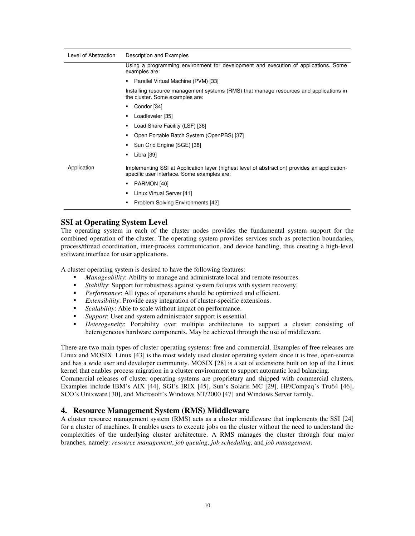| Level of Abstraction | Description and Examples                                                                                                                     |  |  |
|----------------------|----------------------------------------------------------------------------------------------------------------------------------------------|--|--|
|                      | Using a programming environment for development and execution of applications. Some<br>examples are:                                         |  |  |
|                      | Parallel Virtual Machine (PVM) [33]<br>٠                                                                                                     |  |  |
|                      | Installing resource management systems (RMS) that manage resources and applications in<br>the cluster. Some examples are:                    |  |  |
|                      | Condor [34]<br>٠                                                                                                                             |  |  |
|                      | Loadleveler [35]<br>٠                                                                                                                        |  |  |
|                      | Load Share Facility (LSF) [36]<br>٠                                                                                                          |  |  |
|                      | Open Portable Batch System (OpenPBS) [37]<br>٠                                                                                               |  |  |
|                      | Sun Grid Engine (SGE) [38]<br>٠                                                                                                              |  |  |
|                      | Libra [39]<br>٠                                                                                                                              |  |  |
| Application          | Implementing SSI at Application layer (highest level of abstraction) provides an application-<br>specific user interface. Some examples are: |  |  |
|                      | PARMON [40]<br>٠                                                                                                                             |  |  |
|                      | Linux Virtual Server [41]<br>٠                                                                                                               |  |  |
|                      | Problem Solving Environments [42]<br>٠                                                                                                       |  |  |

## **SSI at Operating System Level**

The operating system in each of the cluster nodes provides the fundamental system support for the combined operation of the cluster. The operating system provides services such as protection boundaries, process/thread coordination, inter-process communication, and device handling, thus creating a high-level software interface for user applications.

A cluster operating system is desired to have the following features:

- *Manageability*: Ability to manage and administrate local and remote resources.
- *Stability*: Support for robustness against system failures with system recovery.
- **Performance:** All types of operations should be optimized and efficient.
- *Extensibility:* Provide easy integration of cluster-specific extensions.<br>■ Sealability: Able to scale without impact on performance
- *Scalability*: Able to scale without impact on performance.
- *Support*: User and system administrator support is essential.
- *Heterogeneity*: Portability over multiple architectures to support a cluster consisting of heterogeneous hardware components. May be achieved through the use of middleware.

There are two main types of cluster operating systems: free and commercial. Examples of free releases are Linux and MOSIX. Linux [43] is the most widely used cluster operating system since it is free, open-source and has a wide user and developer community. MOSIX [28] is a set of extensions built on top of the Linux kernel that enables process migration in a cluster environment to support automatic load balancing. Commercial releases of cluster operating systems are proprietary and shipped with commercial clusters. Examples include IBM's AIX [44], SGI's IRIX [45], Sun's Solaris MC [29], HP/Compaq's Tru64 [46],

SCO's Unixware [30], and Microsoft's Windows NT/2000 [47] and Windows Server family.

## **4. Resource Management System (RMS) Middleware**

A cluster resource management system (RMS) acts as a cluster middleware that implements the SSI [24] for a cluster of machines. It enables users to execute jobs on the cluster without the need to understand the complexities of the underlying cluster architecture. A RMS manages the cluster through four major branches, namely: *resource management*, *job queuing*, *job scheduling*, and *job management*.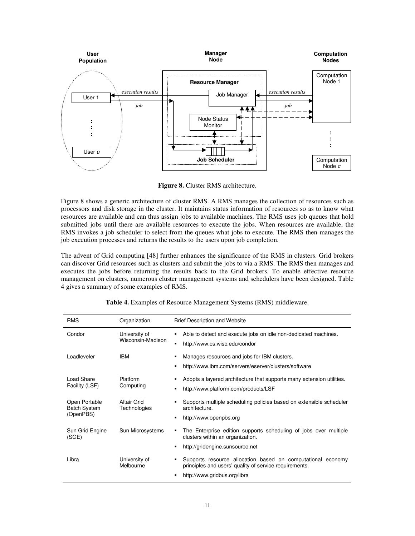

**Figure 8.** Cluster RMS architecture.

Figure 8 shows a generic architecture of cluster RMS. A RMS manages the collection of resources such as processors and disk storage in the cluster. It maintains status information of resources so as to know what resources are available and can thus assign jobs to available machines. The RMS uses job queues that hold submitted jobs until there are available resources to execute the jobs. When resources are available, the RMS invokes a job scheduler to select from the queues what jobs to execute. The RMS then manages the job execution processes and returns the results to the users upon job completion.

The advent of Grid computing [48] further enhances the significance of the RMS in clusters. Grid brokers can discover Grid resources such as clusters and submit the jobs to via a RMS. The RMS then manages and executes the jobs before returning the results back to the Grid brokers. To enable effective resource management on clusters, numerous cluster management systems and schedulers have been designed. Table 4 gives a summary of some examples of RMS.

| <b>RMS</b>                                        | Organization                       | <b>Brief Description and Website</b>                                                                                                                  |
|---------------------------------------------------|------------------------------------|-------------------------------------------------------------------------------------------------------------------------------------------------------|
| Condor                                            | University of<br>Wisconsin-Madison | Able to detect and execute jobs on idle non-dedicated machines.<br>http://www.cs.wisc.edu/condor                                                      |
| Loadleveler                                       | <b>IBM</b>                         | Manages resources and jobs for IBM clusters.<br>http://www.ibm.com/servers/eserver/clusters/software                                                  |
| Load Share<br>Facility (LSF)                      | Platform<br>Computing              | Adopts a layered architecture that supports many extension utilities.<br>http://www.platform.com/products/LSF                                         |
| Open Portable<br><b>Batch System</b><br>(OpenPBS) | <b>Altair Grid</b><br>Technologies | Supports multiple scheduling policies based on extensible scheduler<br>architecture.<br>http://www.openpbs.org                                        |
| Sun Grid Engine<br>(SGE)                          | Sun Microsystems                   | The Enterprise edition supports scheduling of jobs over multiple<br>clusters within an organization.<br>http://gridengine.sunsource.net               |
| Libra                                             | University of<br>Melbourne         | Supports resource allocation based on computational economy<br>principles and users' quality of service requirements.<br>http://www.gridbus.org/libra |

| Table 4. Examples of Resource Management Systems (RMS) middleware. |  |  |
|--------------------------------------------------------------------|--|--|
|--------------------------------------------------------------------|--|--|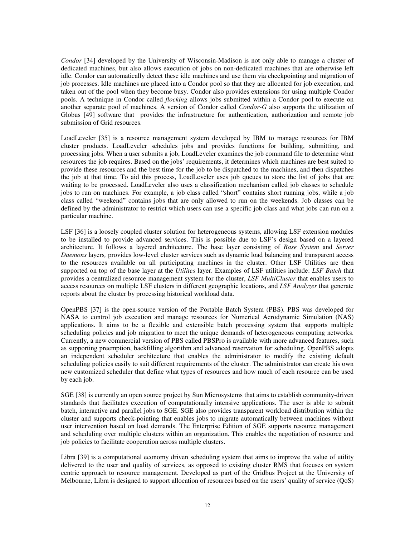*Condor* [34] developed by the University of Wisconsin-Madison is not only able to manage a cluster of dedicated machines, but also allows execution of jobs on non-dedicated machines that are otherwise left idle. Condor can automatically detect these idle machines and use them via checkpointing and migration of job processes. Idle machines are placed into a Condor pool so that they are allocated for job execution, and taken out of the pool when they become busy. Condor also provides extensions for using multiple Condor pools. A technique in Condor called *flocking* allows jobs submitted within a Condor pool to execute on another separate pool of machines. A version of Condor called *Condor-G* also supports the utilization of Globus [49] software that provides the infrastructure for authentication, authorization and remote job submission of Grid resources.

LoadLeveler [35] is a resource management system developed by IBM to manage resources for IBM cluster products. LoadLeveler schedules jobs and provides functions for building, submitting, and processing jobs. When a user submits a job, LoadLeveler examines the job command file to determine what resources the job requires. Based on the jobs' requirements, it determines which machines are best suited to provide these resources and the best time for the job to be dispatched to the machines, and then dispatches the job at that time. To aid this process, LoadLeveler uses job queues to store the list of jobs that are waiting to be processed. LoadLeveler also uses a classification mechanism called job classes to schedule jobs to run on machines. For example, a job class called "short" contains short running jobs, while a job class called "weekend" contains jobs that are only allowed to run on the weekends. Job classes can be defined by the administrator to restrict which users can use a specific job class and what jobs can run on a particular machine.

LSF [36] is a loosely coupled cluster solution for heterogeneous systems, allowing LSF extension modules to be installed to provide advanced services. This is possible due to LSF's design based on a layered architecture. It follows a layered architecture. The base layer consisting of *Base System* and *Server Daemons* layers*,* provides low-level cluster services such as dynamic load balancing and transparent access to the resources available on all participating machines in the cluster. Other LSF Utilities are then supported on top of the base layer at the *Utilites* layer. Examples of LSF utilities include: *LSF Batch* that provides a centralized resource management system for the cluster, *LSF MultiCluster* that enables users to access resources on multiple LSF clusters in different geographic locations, and *LSF Analyzer* that generate reports about the cluster by processing historical workload data.

OpenPBS [37] is the open-source version of the Portable Batch System (PBS). PBS was developed for NASA to control job execution and manage resources for Numerical Aerodynamic Simulation (NAS) applications. It aims to be a flexible and extensible batch processing system that supports multiple scheduling policies and job migration to meet the unique demands of heterogeneous computing networks. Currently, a new commercial version of PBS called PBSPro is available with more advanced features, such as supporting preemption, backfilling algorithm and advanced reservation for scheduling. OpenPBS adopts an independent scheduler architecture that enables the administrator to modify the existing default scheduling policies easily to suit different requirements of the cluster. The administrator can create his own new customized scheduler that define what types of resources and how much of each resource can be used by each job.

SGE [38] is currently an open source project by Sun Microsystems that aims to establish community-driven standards that facilitates execution of computationally intensive applications. The user is able to submit batch, interactive and parallel jobs to SGE. SGE also provides transparent workload distribution within the cluster and supports check-pointing that enables jobs to migrate automatically between machines without user intervention based on load demands. The Enterprise Edition of SGE supports resource management and scheduling over multiple clusters within an organization. This enables the negotiation of resource and job policies to facilitate cooperation across multiple clusters.

Libra [39] is a computational economy driven scheduling system that aims to improve the value of utility delivered to the user and quality of services, as opposed to existing cluster RMS that focuses on system centric approach to resource management. Developed as part of the Gridbus Project at the University of Melbourne, Libra is designed to support allocation of resources based on the users' quality of service (QoS)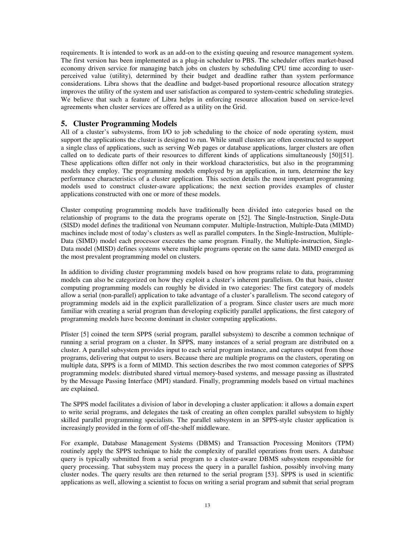requirements. It is intended to work as an add-on to the existing queuing and resource management system. The first version has been implemented as a plug-in scheduler to PBS. The scheduler offers market-based economy driven service for managing batch jobs on clusters by scheduling CPU time according to userperceived value (utility), determined by their budget and deadline rather than system performance considerations. Libra shows that the deadline and budget-based proportional resource allocation strategy improves the utility of the system and user satisfaction as compared to system-centric scheduling strategies. We believe that such a feature of Libra helps in enforcing resource allocation based on service-level agreements when cluster services are offered as a utility on the Grid.

#### **5. Cluster Programming Models**

All of a cluster's subsystems, from I/O to job scheduling to the choice of node operating system, must support the applications the cluster is designed to run. While small clusters are often constructed to support a single class of applications, such as serving Web pages or database applications, larger clusters are often called on to dedicate parts of their resources to different kinds of applications simultaneously [50][51]. These applications often differ not only in their workload characteristics, but also in the programming models they employ. The programming models employed by an application, in turn, determine the key performance characteristics of a cluster application. This section details the most important programming models used to construct cluster-aware applications; the next section provides examples of cluster applications constructed with one or more of these models.

Cluster computing programming models have traditionally been divided into categories based on the relationship of programs to the data the programs operate on [52]. The Single-Instruction, Single-Data (SISD) model defines the traditional von Neumann computer. Multiple-Instruction, Multiple-Data (MIMD) machines include most of today's clusters as well as parallel computers. In the Single-Instruction, Multiple-Data (SIMD) model each processor executes the same program. Finally, the Multiple-instruction, Single-Data model (MISD) defines systems where multiple programs operate on the same data. MIMD emerged as the most prevalent programming model on clusters.

In addition to dividing cluster programming models based on how programs relate to data, programming models can also be categorized on how they exploit a cluster's inherent parallelism. On that basis, cluster computing programming models can roughly be divided in two categories: The first category of models allow a serial (non-parallel) application to take advantage of a cluster's parallelism. The second category of programming models aid in the explicit parallelization of a program. Since cluster users are much more familiar with creating a serial program than developing explicitly parallel applications, the first category of programming models have become dominant in cluster computing applications.

Pfister [5] coined the term SPPS (serial program, parallel subsystem) to describe a common technique of running a serial program on a cluster. In SPPS, many instances of a serial program are distributed on a cluster. A parallel subsystem provides input to each serial program instance, and captures output from those programs, delivering that output to users. Because there are multiple programs on the clusters, operating on multiple data, SPPS is a form of MIMD. This section describes the two most common categories of SPPS programming models: distributed shared virtual memory-based systems, and message passing as illustrated by the Message Passing Interface (MPI) standard. Finally, programming models based on virtual machines are explained.

The SPPS model facilitates a division of labor in developing a cluster application: it allows a domain expert to write serial programs, and delegates the task of creating an often complex parallel subsystem to highly skilled parallel programming specialists. The parallel subsystem in an SPPS-style cluster application is increasingly provided in the form of off-the-shelf middleware.

For example, Database Management Systems (DBMS) and Transaction Processing Monitors (TPM) routinely apply the SPPS technique to hide the complexity of parallel operations from users. A database query is typically submitted from a serial program to a cluster-aware DBMS subsystem responsible for query processing. That subsystem may process the query in a parallel fashion, possibly involving many cluster nodes. The query results are then returned to the serial program [53]. SPPS is used in scientific applications as well, allowing a scientist to focus on writing a serial program and submit that serial program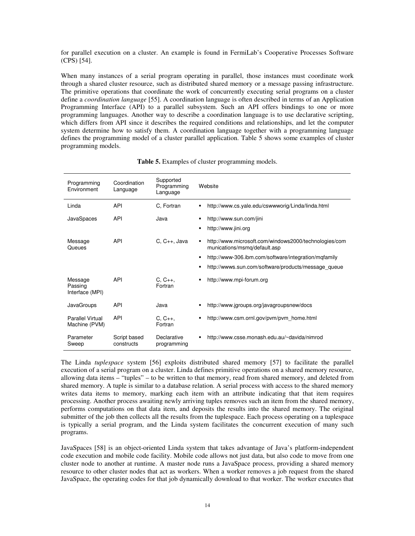for parallel execution on a cluster. An example is found in FermiLab's Cooperative Processes Software (CPS) [54].

When many instances of a serial program operating in parallel, those instances must coordinate work through a shared cluster resource, such as distributed shared memory or a message passing infrastructure. The primitive operations that coordinate the work of concurrently executing serial programs on a cluster define a *coordination language* [55]. A coordination language is often described in terms of an Application Programming Interface (API) to a parallel subsystem. Such an API offers bindings to one or more programming languages. Another way to describe a coordination language is to use declarative scripting, which differs from API since it describes the required conditions and relationships, and let the computer system determine how to satisfy them. A coordination language together with a programming language defines the programming model of a cluster parallel application. Table 5 shows some examples of cluster programming models.

| Programming<br>Environment               | Coordination<br>Language   | Supported<br>Programming<br>Language | Website                                                                                    |  |
|------------------------------------------|----------------------------|--------------------------------------|--------------------------------------------------------------------------------------------|--|
| Linda                                    | API                        | C. Fortran                           | http://www.cs.yale.edu/cswwworig/Linda/linda.html<br>٠                                     |  |
| JavaSpaces                               | <b>API</b>                 | Java                                 | http://www.sun.com/jini<br>٠                                                               |  |
|                                          |                            |                                      | http://www.jini.org<br>٠                                                                   |  |
| Message<br>Queues                        | <b>API</b>                 | $C. C++.$ Java                       | http://www.microsoft.com/windows2000/technologies/com<br>٠<br>munications/msmq/default.asp |  |
|                                          |                            |                                      | http://www-306.ibm.com/software/integration/mqfamily<br>٠                                  |  |
|                                          |                            |                                      | http://wwws.sun.com/software/products/message queue<br>٠                                   |  |
| Message<br>Passing<br>Interface (MPI)    | <b>API</b>                 | $C, C_{++}.$<br>Fortran              | http://www.mpi-forum.org<br>٠                                                              |  |
| JavaGroups                               | API                        | Java                                 | http://www.jgroups.org/javagroupsnew/docs<br>٠                                             |  |
| <b>Parallel Virtual</b><br>Machine (PVM) | <b>API</b>                 | $C, C_{++}$<br>Fortran               | http://www.csm.ornl.gov/pvm/pvm_home.html<br>٠                                             |  |
| Parameter<br>Sweep                       | Script based<br>constructs | Declarative<br>programming           | http://www.csse.monash.edu.au/~davida/nimrod<br>٠                                          |  |

The Linda *tuplespace* system [56] exploits distributed shared memory [57] to facilitate the parallel execution of a serial program on a cluster. Linda defines primitive operations on a shared memory resource, allowing data items – "tuples" – to be written to that memory, read from shared memory, and deleted from shared memory. A tuple is similar to a database relation. A serial process with access to the shared memory writes data items to memory, marking each item with an attribute indicating that that item requires processing. Another process awaiting newly arriving tuples removes such an item from the shared memory, performs computations on that data item, and deposits the results into the shared memory. The original submitter of the job then collects all the results from the tuplespace. Each process operating on a tuplespace is typically a serial program, and the Linda system facilitates the concurrent execution of many such programs.

JavaSpaces [58] is an object-oriented Linda system that takes advantage of Java's platform-independent code execution and mobile code facility. Mobile code allows not just data, but also code to move from one cluster node to another at runtime. A master node runs a JavaSpace process, providing a shared memory resource to other cluster nodes that act as workers. When a worker removes a job request from the shared JavaSpace, the operating codes for that job dynamically download to that worker. The worker executes that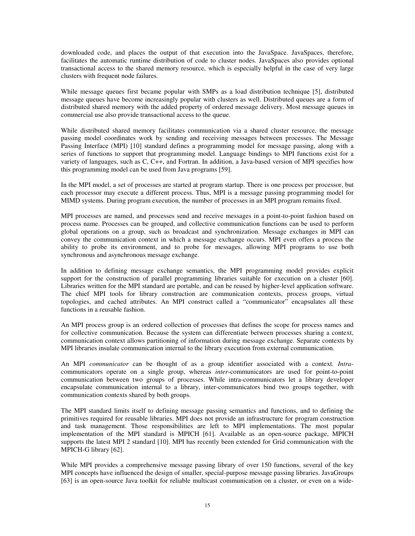downloaded code, and places the output of that execution into the JavaSpace. JavaSpaces, therefore, facilitates the automatic runtime distribution of code to cluster nodes. JavaSpaces also provides optional transactional access to the shared memory resource, which is especially helpful in the case of very large clusters with frequent node failures.

While message queues first became popular with SMPs as a load distribution technique [5], distributed message queues have become increasingly popular with clusters as well. Distributed queues are a form of distributed shared memory with the added property of ordered message delivery. Most message queues in commercial use also provide transactional access to the queue.

While distributed shared memory facilitates communication via a shared cluster resource, the message passing model coordinates work by sending and receiving messages between processes. The Message Passing Interface (MPI) [10] standard defines a programming model for message passing, along with a series of functions to support that programming model. Language bindings to MPI functions exist for a variety of languages, such as C, C++, and Fortran. In addition, a Java-based version of MPI specifies how this programming model can be used from Java programs [59].

In the MPI model, a set of processes are started at program startup. There is one process per processor, but each processor may execute a different process. Thus, MPI is a message passing programming model for MIMD systems. During program execution, the number of processes in an MPI program remains fixed.

MPI processes are named, and processes send and receive messages in a point-to-point fashion based on process name. Processes can be grouped, and collective communication functions can be used to perform global operations on a group, such as broadcast and synchronization. Message exchanges in MPI can convey the communication context in which a message exchange occurs. MPI even offers a process the ability to probe its environment, and to probe for messages, allowing MPI programs to use both synchronous and asynchronous message exchange.

In addition to defining message exchange semantics, the MPI programming model provides explicit support for the construction of parallel programming libraries suitable for execution on a cluster [60]. Libraries written for the MPI standard are portable, and can be reused by higher-level application software. The chief MPI tools for library construction are communication contexts, process groups, virtual topologies, and cached attributes. An MPI construct called a "communicator" encapsulates all these functions in a reusable fashion.

An MPI process group is an ordered collection of processes that defines the scope for process names and for collective communication. Because the system can differentiate between processes sharing a context, communication context allows partitioning of information during message exchange. Separate contexts by MPI libraries insulate communication internal to the library execution from external communication.

An MPI *communicator* can be thought of as a group identifier associated with a context. *Intra*communicators operate on a single group, whereas *inter*-communicators are used for point-to-point communication between two groups of processes. While intra-communicators let a library developer encapsulate communication internal to a library, inter-communicators bind two groups together, with communication contexts shared by both groups.

The MPI standard limits itself to defining message passing semantics and functions, and to defining the primitives required for reusable libraries. MPI does not provide an infrastructure for program construction and task management. Those responsibilities are left to MPI implementations. The most popular implementation of the MPI standard is MPICH [61]. Available as an open-source package, MPICH supports the latest MPI 2 standard [10]. MPI has recently been extended for Grid communication with the MPICH-G library [62].

While MPI provides a comprehensive message passing library of over 150 functions, several of the key MPI concepts have influenced the design of smaller, special-purpose message passing libraries. JavaGroups [63] is an open-source Java toolkit for reliable multicast communication on a cluster, or even on a wide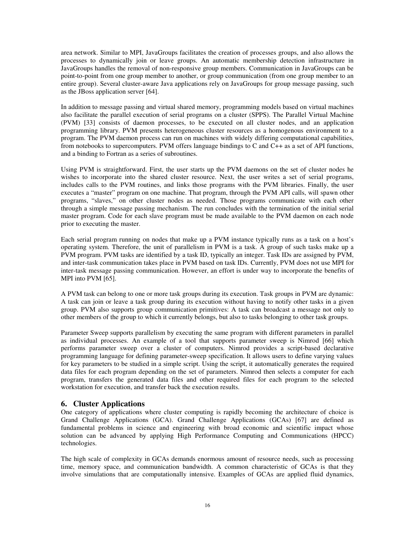area network. Similar to MPI, JavaGroups facilitates the creation of processes groups, and also allows the processes to dynamically join or leave groups. An automatic membership detection infrastructure in JavaGroups handles the removal of non-responsive group members. Communication in JavaGroups can be point-to-point from one group member to another, or group communication (from one group member to an entire group). Several cluster-aware Java applications rely on JavaGroups for group message passing, such as the JBoss application server [64].

In addition to message passing and virtual shared memory, programming models based on virtual machines also facilitate the parallel execution of serial programs on a cluster (SPPS). The Parallel Virtual Machine (PVM) [33] consists of daemon processes, to be executed on all cluster nodes, and an application programming library. PVM presents heterogeneous cluster resources as a homogenous environment to a program. The PVM daemon process can run on machines with widely differing computational capabilities, from notebooks to supercomputers. PVM offers language bindings to C and C++ as a set of API functions, and a binding to Fortran as a series of subroutines.

Using PVM is straightforward. First, the user starts up the PVM daemons on the set of cluster nodes he wishes to incorporate into the shared cluster resource. Next, the user writes a set of serial programs, includes calls to the PVM routines, and links those programs with the PVM libraries. Finally, the user executes a "master" program on one machine. That program, through the PVM API calls, will spawn other programs, "slaves," on other cluster nodes as needed. Those programs communicate with each other through a simple message passing mechanism. The run concludes with the termination of the initial serial master program. Code for each slave program must be made available to the PVM daemon on each node prior to executing the master.

Each serial program running on nodes that make up a PVM instance typically runs as a task on a host's operating system. Therefore, the unit of parallelism in PVM is a task. A group of such tasks make up a PVM program. PVM tasks are identified by a task ID, typically an integer. Task IDs are assigned by PVM, and inter-task communication takes place in PVM based on task IDs. Currently, PVM does not use MPI for inter-task message passing communication. However, an effort is under way to incorporate the benefits of MPI into PVM [65].

A PVM task can belong to one or more task groups during its execution. Task groups in PVM are dynamic: A task can join or leave a task group during its execution without having to notify other tasks in a given group. PVM also supports group communication primitives: A task can broadcast a message not only to other members of the group to which it currently belongs, but also to tasks belonging to other task groups.

Parameter Sweep supports parallelism by executing the same program with different parameters in parallel as individual processes. An example of a tool that supports parameter sweep is Nimrod [66] which performs parameter sweep over a cluster of computers. Nimrod provides a script-based declarative programming language for defining parameter-sweep specification. It allows users to define varying values for key parameters to be studied in a simple script. Using the script, it automatically generates the required data files for each program depending on the set of parameters. Nimrod then selects a computer for each program, transfers the generated data files and other required files for each program to the selected workstation for execution, and transfer back the execution results.

## **6. Cluster Applications**

One category of applications where cluster computing is rapidly becoming the architecture of choice is Grand Challenge Applications (GCA). Grand Challenge Applications (GCAs) [67] are defined as fundamental problems in science and engineering with broad economic and scientific impact whose solution can be advanced by applying High Performance Computing and Communications (HPCC) technologies.

The high scale of complexity in GCAs demands enormous amount of resource needs, such as processing time, memory space, and communication bandwidth. A common characteristic of GCAs is that they involve simulations that are computationally intensive. Examples of GCAs are applied fluid dynamics,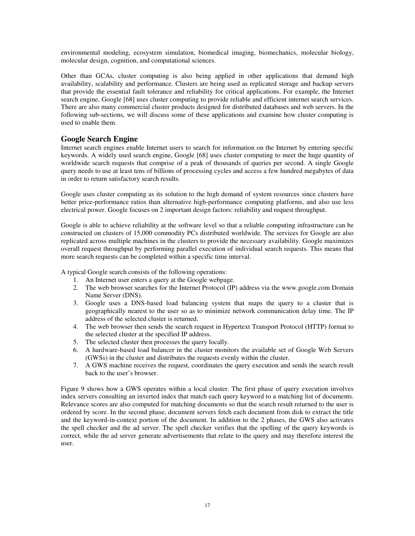environmental modeling, ecosystem simulation, biomedical imaging, biomechanics, molecular biology, molecular design, cognition, and computational sciences.

Other than GCAs, cluster computing is also being applied in other applications that demand high availability, scalability and performance. Clusters are being used as replicated storage and backup servers that provide the essential fault tolerance and reliability for critical applications. For example, the Internet search engine, Google [68] uses cluster computing to provide reliable and efficient internet search services. There are also many commercial cluster products designed for distributed databases and web servers. In the following sub-sections, we will discuss some of these applications and examine how cluster computing is used to enable them.

# **Google Search Engine**

Internet search engines enable Internet users to search for information on the Internet by entering specific keywords. A widely used search engine, Google [68] uses cluster computing to meet the huge quantity of worldwide search requests that comprise of a peak of thousands of queries per second. A single Google query needs to use at least tens of billions of processing cycles and access a few hundred megabytes of data in order to return satisfactory search results.

Google uses cluster computing as its solution to the high demand of system resources since clusters have better price-performance ratios than alternative high-performance computing platforms, and also use less electrical power. Google focuses on 2 important design factors: reliability and request throughput.

Google is able to achieve reliability at the software level so that a reliable computing infrastructure can be constructed on clusters of 15,000 commodity PCs distributed worldwide. The services for Google are also replicated across multiple machines in the clusters to provide the necessary availability. Google maximizes overall request throughput by performing parallel execution of individual search requests. This means that more search requests can be completed within a specific time interval.

A typical Google search consists of the following operations:

- 1. An Internet user enters a query at the Google webpage.
- 2. The web browser searches for the Internet Protocol (IP) address via the www.google.com Domain Name Server (DNS).
- 3. Google uses a DNS-based load balancing system that maps the query to a cluster that is geographically nearest to the user so as to minimize network communication delay time. The IP address of the selected cluster is returned.
- 4. The web browser then sends the search request in Hypertext Transport Protocol (HTTP) format to the selected cluster at the specified IP address.
- 5. The selected cluster then processes the query locally.
- 6. A hardware-based load balancer in the cluster monitors the available set of Google Web Servers (GWSs) in the cluster and distributes the requests evenly within the cluster.
- 7. A GWS machine receives the request, coordinates the query execution and sends the search result back to the user's browser.

Figure 9 shows how a GWS operates within a local cluster. The first phase of query execution involves index servers consulting an inverted index that match each query keyword to a matching list of documents. Relevance scores are also computed for matching documents so that the search result returned to the user is ordered by score. In the second phase, document servers fetch each document from disk to extract the title and the keyword-in-context portion of the document. In addition to the 2 phases, the GWS also activates the spell checker and the ad server. The spell checker verifies that the spelling of the query keywords is correct, while the ad server generate advertisements that relate to the query and may therefore interest the user.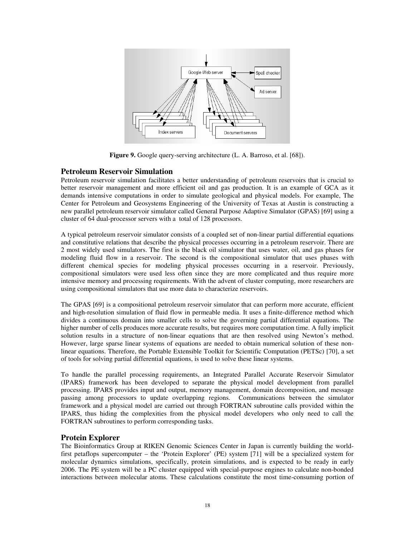

**Figure 9.** Google query-serving architecture (L. A. Barroso, et al. [68]).

# **Petroleum Reservoir Simulation**

Petroleum reservoir simulation facilitates a better understanding of petroleum reservoirs that is crucial to better reservoir management and more efficient oil and gas production. It is an example of GCA as it demands intensive computations in order to simulate geological and physical models. For example, The Center for Petroleum and Geosystems Engineering of the University of Texas at Austin is constructing a new parallel petroleum reservoir simulator called General Purpose Adaptive Simulator (GPAS) [69] using a cluster of 64 dual-processor servers with a total of 128 processors.

A typical petroleum reservoir simulator consists of a coupled set of non-linear partial differential equations and constitutive relations that describe the physical processes occurring in a petroleum reservoir. There are 2 most widely used simulators. The first is the black oil simulator that uses water, oil, and gas phases for modeling fluid flow in a reservoir. The second is the compositional simulator that uses phases with different chemical species for modeling physical processes occurring in a reservoir. Previously, compositional simulators were used less often since they are more complicated and thus require more intensive memory and processing requirements. With the advent of cluster computing, more researchers are using compositional simulators that use more data to characterize reservoirs.

The GPAS [69] is a compositional petroleum reservoir simulator that can perform more accurate, efficient and high-resolution simulation of fluid flow in permeable media. It uses a finite-difference method which divides a continuous domain into smaller cells to solve the governing partial differential equations. The higher number of cells produces more accurate results, but requires more computation time. A fully implicit solution results in a structure of non-linear equations that are then resolved using Newton's method. However, large sparse linear systems of equations are needed to obtain numerical solution of these nonlinear equations. Therefore, the Portable Extensible Toolkit for Scientific Computation (PETSc) [70], a set of tools for solving partial differential equations, is used to solve these linear systems.

To handle the parallel processing requirements, an Integrated Parallel Accurate Reservoir Simulator (IPARS) framework has been developed to separate the physical model development from parallel processing. IPARS provides input and output, memory management, domain decomposition, and message passing among processors to update overlapping regions. Communications between the simulator framework and a physical model are carried out through FORTRAN subroutine calls provided within the IPARS, thus hiding the complexities from the physical model developers who only need to call the FORTRAN subroutines to perform corresponding tasks.

## **Protein Explorer**

The Bioinformatics Group at RIKEN Genomic Sciences Center in Japan is currently building the worldfirst petaflops supercomputer – the 'Protein Explorer' (PE) system [71] will be a specialized system for molecular dynamics simulations, specifically, protein simulations, and is expected to be ready in early 2006. The PE system will be a PC cluster equipped with special-purpose engines to calculate non-bonded interactions between molecular atoms. These calculations constitute the most time-consuming portion of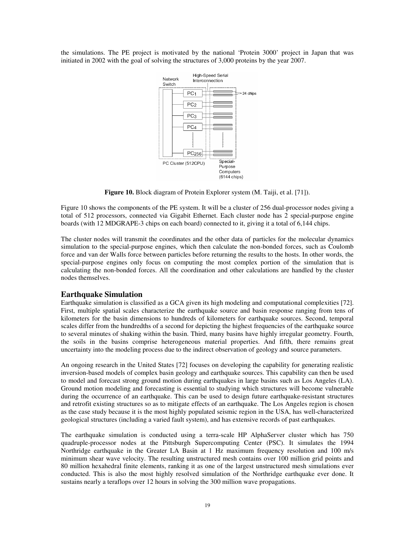the simulations. The PE project is motivated by the national 'Protein 3000' project in Japan that was initiated in 2002 with the goal of solving the structures of 3,000 proteins by the year 2007.



**Figure 10.** Block diagram of Protein Explorer system (M. Taiji, et al. [71]).

Figure 10 shows the components of the PE system. It will be a cluster of 256 dual-processor nodes giving a total of 512 processors, connected via Gigabit Ethernet. Each cluster node has 2 special-purpose engine boards (with 12 MDGRAPE-3 chips on each board) connected to it, giving it a total of 6,144 chips.

The cluster nodes will transmit the coordinates and the other data of particles for the molecular dynamics simulation to the special-purpose engines, which then calculate the non-bonded forces, such as Coulomb force and van der Walls force between particles before returning the results to the hosts. In other words, the special-purpose engines only focus on computing the most complex portion of the simulation that is calculating the non-bonded forces. All the coordination and other calculations are handled by the cluster nodes themselves.

#### **Earthquake Simulation**

Earthquake simulation is classified as a GCA given its high modeling and computational complexities [72]. First, multiple spatial scales characterize the earthquake source and basin response ranging from tens of kilometers for the basin dimensions to hundreds of kilometers for earthquake sources. Second, temporal scales differ from the hundredths of a second for depicting the highest frequencies of the earthquake source to several minutes of shaking within the basin. Third, many basins have highly irregular geometry. Fourth, the soils in the basins comprise heterogeneous material properties. And fifth, there remains great uncertainty into the modeling process due to the indirect observation of geology and source parameters.

An ongoing research in the United States [72] focuses on developing the capability for generating realistic inversion-based models of complex basin geology and earthquake sources. This capability can then be used to model and forecast strong ground motion during earthquakes in large basins such as Los Angeles (LA). Ground motion modeling and forecasting is essential to studying which structures will become vulnerable during the occurrence of an earthquake. This can be used to design future earthquake-resistant structures and retrofit existing structures so as to mitigate effects of an earthquake. The Los Angeles region is chosen as the case study because it is the most highly populated seismic region in the USA, has well-characterized geological structures (including a varied fault system), and has extensive records of past earthquakes.

The earthquake simulation is conducted using a terra-scale HP AlphaServer cluster which has 750 quadruple-processor nodes at the Pittsburgh Supercomputing Center (PSC). It simulates the 1994 Northridge earthquake in the Greater LA Basin at 1 Hz maximum frequency resolution and 100 m/s minimum shear wave velocity. The resulting unstructured mesh contains over 100 million grid points and 80 million hexahedral finite elements, ranking it as one of the largest unstructured mesh simulations ever conducted. This is also the most highly resolved simulation of the Northridge earthquake ever done. It sustains nearly a teraflops over 12 hours in solving the 300 million wave propagations.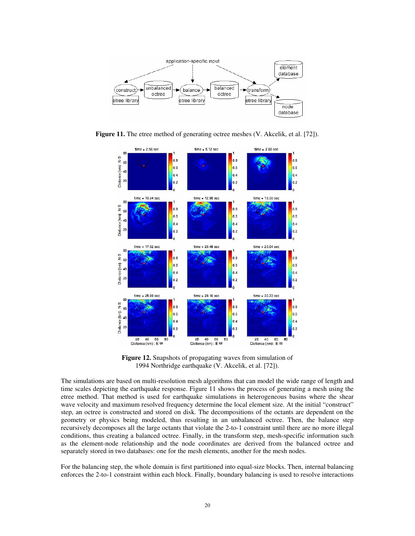

**Figure 11.** The etree method of generating octree meshes (V. Akcelik, et al. [72]).



**Figure 12.** Snapshots of propagating waves from simulation of 1994 Northridge earthquake (V. Akcelik, et al. [72]).

The simulations are based on multi-resolution mesh algorithms that can model the wide range of length and time scales depicting the earthquake response. Figure 11 shows the process of generating a mesh using the etree method. That method is used for earthquake simulations in heterogeneous basins where the shear wave velocity and maximum resolved frequency determine the local element size. At the initial "construct" step, an octree is constructed and stored on disk. The decompositions of the octants are dependent on the geometry or physics being modeled, thus resulting in an unbalanced octree. Then, the balance step recursively decomposes all the large octants that violate the 2-to-1 constraint until there are no more illegal conditions, thus creating a balanced octree. Finally, in the transform step, mesh-specific information such as the element-node relationship and the node coordinates are derived from the balanced octree and separately stored in two databases: one for the mesh elements, another for the mesh nodes.

For the balancing step, the whole domain is first partitioned into equal-size blocks. Then, internal balancing enforces the 2-to-1 constraint within each block. Finally, boundary balancing is used to resolve interactions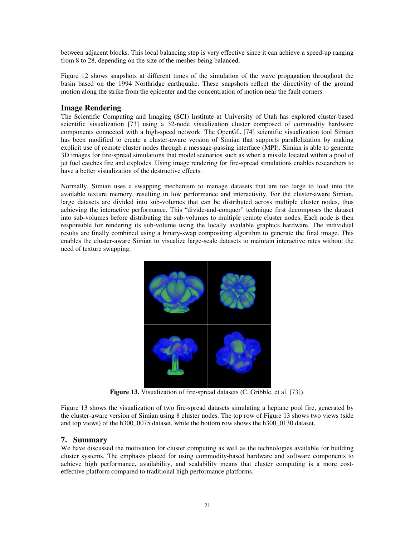between adjacent blocks. This local balancing step is very effective since it can achieve a speed-up ranging from 8 to 28, depending on the size of the meshes being balanced.

Figure 12 shows snapshots at different times of the simulation of the wave propagation throughout the basin based on the 1994 Northridge earthquake. These snapshots reflect the directivity of the ground motion along the strike from the epicenter and the concentration of motion near the fault corners.

## **Image Rendering**

The Scientific Computing and Imaging (SCI) Institute at University of Utah has explored cluster-based scientific visualization [73] using a 32-node visualization cluster composed of commodity hardware components connected with a high-speed network. The OpenGL [74] scientific visualization tool Simian has been modified to create a cluster-aware version of Simian that supports parallelization by making explicit use of remote cluster nodes through a message-passing interface (MPI). Simian is able to generate 3D images for fire-spread simulations that model scenarios such as when a missile located within a pool of jet fuel catches fire and explodes. Using image rendering for fire-spread simulations enables researchers to have a better visualization of the destructive effects.

Normally, Simian uses a swapping mechanism to manage datasets that are too large to load into the available texture memory, resulting in low performance and interactivity. For the cluster-aware Simian, large datasets are divided into sub-volumes that can be distributed across multiple cluster nodes, thus achieving the interactive performance. This "divide-and-conquer" technique first decomposes the dataset into sub-volumes before distributing the sub-volumes to multiple remote cluster nodes. Each node is then responsible for rendering its sub-volume using the locally available graphics hardware. The individual results are finally combined using a binary-swap compositing algorithm to generate the final image. This enables the cluster-aware Simian to visualize large-scale datasets to maintain interactive rates without the need of texture swapping.



**Figure 13.** Visualization of fire-spread datasets (C. Gribble, et al. [73]).

Figure 13 shows the visualization of two fire-spread datasets simulating a heptane pool fire, generated by the cluster-aware version of Simian using 8 cluster nodes. The top row of Figure 13 shows two views (side and top views) of the h300\_0075 dataset, while the bottom row shows the h300\_0130 dataset.

## **7. Summary**

We have discussed the motivation for cluster computing as well as the technologies available for building cluster systems. The emphasis placed for using commodity-based hardware and software components to achieve high performance, availability, and scalability means that cluster computing is a more costeffective platform compared to traditional high performance platforms.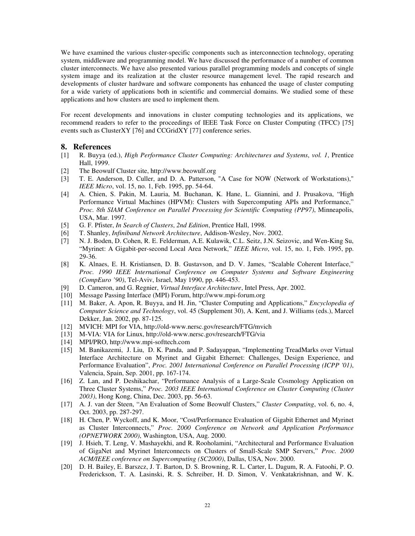We have examined the various cluster-specific components such as interconnection technology, operating system, middleware and programming model. We have discussed the performance of a number of common cluster interconnects. We have also presented various parallel programming models and concepts of single system image and its realization at the cluster resource management level. The rapid research and developments of cluster hardware and software components has enhanced the usage of cluster computing for a wide variety of applications both in scientific and commercial domains. We studied some of these applications and how clusters are used to implement them.

For recent developments and innovations in cluster computing technologies and its applications, we recommend readers to refer to the proceedings of IEEE Task Force on Cluster Computing (TFCC) [75] events such as ClusterXY [76] and CCGridXY [77] conference series.

#### **8. References**

- [1] R. Buyya (ed.), *High Performance Cluster Computing: Architectures and Systems*, *vol. 1*, Prentice Hall, 1999.
- [2] The Beowulf Cluster site, http://www.beowulf.org
- [3] T. E. Anderson, D. Culler, and D. A. Patterson, "A Case for NOW (Network of Workstations)," *IEEE Micro*, vol. 15, no. 1, Feb. 1995, pp. 54-64.
- [4] A. Chien, S. Pakin, M. Lauria, M. Buchanan, K. Hane, L. Giannini, and J. Prusakova, "High Performance Virtual Machines (HPVM): Clusters with Supercomputing APIs and Performance," *Proc. 8th SIAM Conference on Parallel Processing for Scientific Computing (PP97)*, Minneapolis, USA, Mar. 1997.
- [5] G. F. Pfister, *In Search of Clusters*, *2nd Edition*, Prentice Hall, 1998.
- [6] T. Shanley, *Infiniband Network Architecture*, Addison-Wesley, Nov. 2002.
- [7] N. J. Boden, D. Cohen, R. E. Felderman, A.E. Kulawik, C.L. Seitz, J.N. Seizovic, and Wen-King Su, "Myrinet: A Gigabit-per-second Local Area Network," *IEEE Micro*, vol. 15, no. 1, Feb. 1995, pp. 29-36.
- [8] K. Alnaes, E. H. Kristiansen, D. B. Gustavson, and D. V. James, "Scalable Coherent Interface," *Proc. 1990 IEEE International Conference on Computer Systems and Software Engineering (CompEuro '90)*, Tel-Aviv, Israel, May 1990, pp. 446-453.
- [9] D. Cameron, and G. Regnier, *Virtual Interface Architecture*, Intel Press, Apr. 2002.
- [10] Message Passing Interface (MPI) Forum, http://www.mpi-forum.org
- [11] M. Baker, A. Apon, R. Buyya, and H. Jin, "Cluster Computing and Applications," *Encyclopedia of Computer Science and Technology*, vol. 45 (Supplement 30), A. Kent, and J. Williams (eds.), Marcel Dekker, Jan. 2002, pp. 87-125.
- [12] MVICH: MPI for VIA, http://old-www.nersc.gov/research/FTG/mvich
- [13] M-VIA: VIA for Linux, http://old-www.nersc.gov/research/FTG/via
- [14] MPI/PRO, http://www.mpi-softtech.com
- [15] M. Banikazemi, J. Liu, D. K. Panda, and P. Sadayappan, "Implementing TreadMarks over Virtual Interface Architecture on Myrinet and Gigabit Ethernet: Challenges, Design Experience, and Performance Evaluation", *Proc. 2001 International Conference on Parallel Processing (ICPP '01)*, Valencia, Spain, Sep. 2001, pp. 167-174.
- [16] Z. Lan, and P. Deshikachar, "Performance Analysis of a Large-Scale Cosmology Application on Three Cluster Systems," *Proc. 2003 IEEE International Conference on Cluster Computing (Cluster 2003)*, Hong Kong, China, Dec. 2003, pp. 56-63.
- [17] A. J. van der Steen, "An Evaluation of Some Beowulf Clusters," *Cluster Computing*, vol. 6, no. 4, Oct. 2003, pp. 287-297.
- [18] H. Chen, P. Wyckoff, and K. Moor, "Cost/Performance Evaluation of Gigabit Ethernet and Myrinet as Cluster Interconnects," *Proc. 2000 Conference on Network and Application Performance (OPNETWORK 2000)*, Washington, USA, Aug. 2000.
- [19] J. Hsieh, T. Leng, V. Mashayekhi, and R. Rooholamini, "Architectural and Performance Evaluation of GigaNet and Myrinet Interconnects on Clusters of Small-Scale SMP Servers," *Proc. 2000 ACM/IEEE conference on Supercomputing (SC2000)*, Dallas, USA, Nov. 2000.
- [20] D. H. Bailey, E. Barszcz, J. T. Barton, D. S. Browning, R. L. Carter, L. Dagum, R. A. Fatoohi, P. O. Frederickson, T. A. Lasinski, R. S. Schreiber, H. D. Simon, V. Venkatakrishnan, and W. K.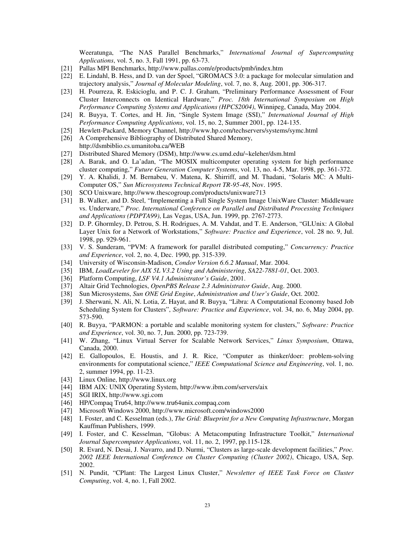Weeratunga, "The NAS Parallel Benchmarks," *International Journal of Supercomputing Applications*, vol. 5, no. 3, Fall 1991, pp. 63-73.

- [21] Pallas MPI Benchmarks, http://www.pallas.com/e/products/pmb/index.htm
- [22] E. Lindahl, B. Hess, and D. van der Spoel, "GROMACS 3.0: a package for molecular simulation and trajectory analysis," *Journal of Molecular Modeling*, vol. 7, no. 8, Aug. 2001, pp. 306-317.
- [23] H. Pourreza, R. Eskicioglu, and P. C. J. Graham, "Preliminary Performance Assessment of Four Cluster Interconnects on Identical Hardware," *Proc. 18th International Symposium on High Performance Computing Systems and Applications (HPCS2004)*, Winnipeg, Canada, May 2004.
- [24] R. Buyya, T. Cortes, and H. Jin, "Single System Image (SSI)," *International Journal of High Performance Computing Applications*, vol. 15, no. 2, Summer 2001, pp. 124-135.
- [25] Hewlett-Packard, Memory Channel, http://www.hp.com/techservers/systems/symc.html
- [26] A Comprehensive Bibliography of Distributed Shared Memory, http://dsmbiblio.cs.umanitoba.ca/WEB
- [27] Distributed Shared Memory (DSM), http://www.cs.umd.edu/~keleher/dsm.html
- [28] A. Barak, and O. La'adan, "The MOSIX multicomputer operating system for high performance cluster computing," *Future Generation Computer Systems*, vol. 13, no. 4-5, Mar. 1998, pp. 361-372.
- [29] Y. A. Khalidi, J. M. Bernabeu, V. Matena, K. Shirriff, and M. Thadani, "Solaris MC: A Multi-Computer OS," *Sun Microsystems Technical Report TR-95-48*, Nov. 1995.
- [30] SCO Unixware, http://www.thescogroup.com/products/unixware713
- [31] B. Walker, and D. Steel, "Implementing a Full Single System Image UnixWare Cluster: Middleware vs. Underware," *Proc. International Conference on Parallel and Distributed Processing Techniques and Applications (PDPTA99)*, Las Vegas, USA, Jun. 1999, pp. 2767-2773.
- [32] D. P. Ghormley, D. Petrou, S. H. Rodrigues, A. M. Vahdat, and T. E. Anderson, "GLUnix: A Global Layer Unix for a Network of Workstations," *Software: Practice and Experience*, vol. 28 no. 9, Jul. 1998, pp. 929-961.
- [33] V. S. Sunderam, "PVM: A framework for parallel distributed computing," *Concurrency: Practice and Experience*, vol. 2, no. 4, Dec. 1990, pp. 315-339.
- [34] University of Wisconsin-Madison, *Condor Version 6.6.2 Manual*, Mar. 2004.
- [35] IBM, *LoadLeveler for AIX 5L V3.2 Using and Administering*, *SA22-7881-01*, Oct. 2003.
- [36] Platform Computing, *LSF V4.1 Administrator's Guide*, 2001.
- [37] Altair Grid Technologies, *OpenPBS Release 2.3 Administrator Guide*, Aug. 2000.
- [38] Sun Microsystems, *Sun ONE Grid Engine*, *Administration and User's Guide*, Oct. 2002.
- [39] J. Sherwani, N. Ali, N. Lotia, Z. Hayat, and R. Buyya, "Libra: A Computational Economy based Job Scheduling System for Clusters", *Software: Practice and Experience*, vol. 34, no. 6, May 2004, pp. 573-590.
- [40] R. Buyya, "PARMON: a portable and scalable monitoring system for clusters," *Software: Practice and Experience*, vol. 30, no. 7, Jun. 2000, pp. 723-739.
- [41] W. Zhang, "Linux Virtual Server for Scalable Network Services," *Linux Symposium*, Ottawa, Canada, 2000.
- [42] E. Gallopoulos, E. Houstis, and J. R. Rice, "Computer as thinker/doer: problem-solving environments for computational science," *IEEE Computational Science and Engineering*, vol. 1, no. 2, summer 1994, pp. 11-23.
- [43] Linux Online, http://www.linux.org
- [44] IBM AIX: UNIX Operating System, http://www.ibm.com/servers/aix
- [45] SGI IRIX, http://www.sgi.com
- [46] HP/Compaq Tru64, http://www.tru64unix.compaq.com
- [47] Microsoft Windows 2000, http://www.microsoft.com/windows2000
- [48] I. Foster, and C. Kesselman (eds.), *The Grid: Blueprint for a New Computing Infrastructure*, Morgan Kauffman Publishers, 1999.
- [49] I. Foster, and C. Kesselman, "Globus: A Metacomputing Infrastructure Toolkit," *International Journal Supercomputer Applications*, vol. 11, no. 2, 1997, pp.115-128.
- [50] R. Evard, N. Desai, J. Navarro, and D. Nurmi, "Clusters as large-scale development facilities," *Proc. 2002 IEEE International Conference on Cluster Computing (Cluster 2002)*, Chicago, USA, Sep. 2002.
- [51] N. Pundit, "CPlant: The Largest Linux Cluster," *Newsletter of IEEE Task Force on Cluster Computing*, vol. 4, no. 1, Fall 2002.